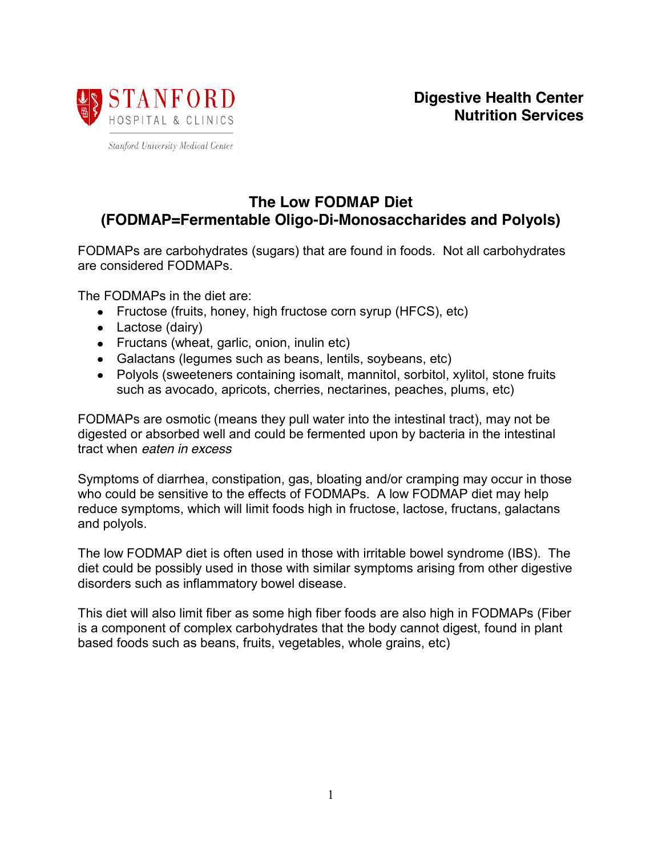

Stanford University Medical Center

# **The Low FODMAP Diet (FODMAP=Fermentable Oligo-Di-Monosaccharides and Polyols)**

FODMAPs are carbohydrates (sugars) that are found in foods. Not all carbohydrates are considered FODMAPs.

The FODMAPs in the diet are:

- Fructose (fruits, honey, high fructose corn syrup (HFCS), etc)
- Lactose (dairy)
- Fructans (wheat, garlic, onion, inulin etc)
- Galactans (legumes such as beans, lentils, soybeans, etc)
- Polyols (sweeteners containing isomalt, mannitol, sorbitol, xylitol, stone fruits such as avocado, apricots, cherries, nectarines, peaches, plums, etc)

FODMAPs are osmotic (means they pull water into the intestinal tract), may not be digested or absorbed well and could be fermented upon by bacteria in the intestinal tract when *eaten in excess*

Symptoms of diarrhea, constipation, gas, bloating and/or cramping may occur in those who could be sensitive to the effects of FODMAPs. A low FODMAP diet may help reduce symptoms, which will limit foods high in fructose, lactose, fructans, galactans and polyols.

The low FODMAP diet is often used in those with irritable bowel syndrome (IBS). The diet could be possibly used in those with similar symptoms arising from other digestive disorders such as inflammatory bowel disease.

This diet will also limit fiber as some high fiber foods are also high in FODMAPs (Fiber is a component of complex carbohydrates that the body cannot digest, found in plant based foods such as beans, fruits, vegetables, whole grains, etc)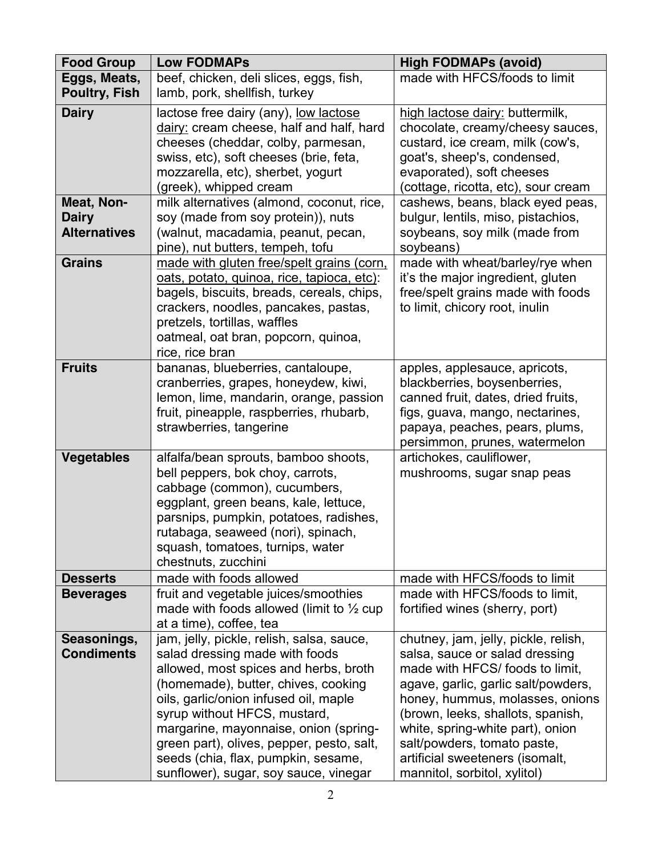| <b>Food Group</b>    | <b>Low FODMAPs</b>                                                 | <b>High FODMAPs (avoid)</b>                                       |
|----------------------|--------------------------------------------------------------------|-------------------------------------------------------------------|
| Eggs, Meats,         | beef, chicken, deli slices, eggs, fish,                            | made with HFCS/foods to limit                                     |
| <b>Poultry, Fish</b> | lamb, pork, shellfish, turkey                                      |                                                                   |
| <b>Dairy</b>         | lactose free dairy (any), low lactose                              | high lactose dairy: buttermilk,                                   |
|                      | dairy: cream cheese, half and half, hard                           | chocolate, creamy/cheesy sauces,                                  |
|                      | cheeses (cheddar, colby, parmesan,                                 | custard, ice cream, milk (cow's,                                  |
|                      | swiss, etc), soft cheeses (brie, feta,                             | goat's, sheep's, condensed,                                       |
|                      | mozzarella, etc), sherbet, yogurt                                  | evaporated), soft cheeses                                         |
|                      | (greek), whipped cream                                             | (cottage, ricotta, etc), sour cream                               |
| Meat, Non-           | milk alternatives (almond, coconut, rice,                          | cashews, beans, black eyed peas,                                  |
| <b>Dairy</b>         | soy (made from soy protein)), nuts                                 | bulgur, lentils, miso, pistachios,                                |
| <b>Alternatives</b>  | (walnut, macadamia, peanut, pecan,                                 | soybeans, soy milk (made from                                     |
|                      | pine), nut butters, tempeh, tofu                                   | soybeans)                                                         |
| <b>Grains</b>        | made with gluten free/spelt grains (corn,                          | made with wheat/barley/rye when                                   |
|                      | oats, potato, quinoa, rice, tapioca, etc):                         | it's the major ingredient, gluten                                 |
|                      | bagels, biscuits, breads, cereals, chips,                          | free/spelt grains made with foods                                 |
|                      | crackers, noodles, pancakes, pastas,                               | to limit, chicory root, inulin                                    |
|                      | pretzels, tortillas, waffles                                       |                                                                   |
|                      | oatmeal, oat bran, popcorn, quinoa,                                |                                                                   |
|                      | rice, rice bran                                                    |                                                                   |
| <b>Fruits</b>        | bananas, blueberries, cantaloupe,                                  | apples, applesauce, apricots,                                     |
|                      | cranberries, grapes, honeydew, kiwi,                               | blackberries, boysenberries,                                      |
|                      | lemon, lime, mandarin, orange, passion                             | canned fruit, dates, dried fruits,                                |
|                      | fruit, pineapple, raspberries, rhubarb,<br>strawberries, tangerine | figs, guava, mango, nectarines,<br>papaya, peaches, pears, plums, |
|                      |                                                                    | persimmon, prunes, watermelon                                     |
| <b>Vegetables</b>    | alfalfa/bean sprouts, bamboo shoots,                               | artichokes, cauliflower,                                          |
|                      | bell peppers, bok choy, carrots,                                   | mushrooms, sugar snap peas                                        |
|                      | cabbage (common), cucumbers,                                       |                                                                   |
|                      | eggplant, green beans, kale, lettuce,                              |                                                                   |
|                      | parsnips, pumpkin, potatoes, radishes,                             |                                                                   |
|                      | rutabaga, seaweed (nori), spinach,                                 |                                                                   |
|                      | squash, tomatoes, turnips, water                                   |                                                                   |
|                      | chestnuts, zucchini                                                |                                                                   |
| <b>Desserts</b>      | made with foods allowed                                            | made with HFCS/foods to limit                                     |
| <b>Beverages</b>     | fruit and vegetable juices/smoothies                               | made with HFCS/foods to limit,                                    |
|                      | made with foods allowed (limit to $\frac{1}{2}$ cup                | fortified wines (sherry, port)                                    |
|                      | at a time), coffee, tea                                            |                                                                   |
| Seasonings,          | jam, jelly, pickle, relish, salsa, sauce,                          | chutney, jam, jelly, pickle, relish,                              |
| <b>Condiments</b>    | salad dressing made with foods                                     | salsa, sauce or salad dressing                                    |
|                      | allowed, most spices and herbs, broth                              | made with HFCS/ foods to limit,                                   |
|                      | (homemade), butter, chives, cooking                                | agave, garlic, garlic salt/powders,                               |
|                      | oils, garlic/onion infused oil, maple                              | honey, hummus, molasses, onions                                   |
|                      | syrup without HFCS, mustard,                                       | (brown, leeks, shallots, spanish,                                 |
|                      | margarine, mayonnaise, onion (spring-                              | white, spring-white part), onion                                  |
|                      | green part), olives, pepper, pesto, salt,                          | salt/powders, tomato paste,                                       |
|                      | seeds (chia, flax, pumpkin, sesame,                                | artificial sweeteners (isomalt,                                   |
|                      | sunflower), sugar, soy sauce, vinegar                              | mannitol, sorbitol, xylitol)                                      |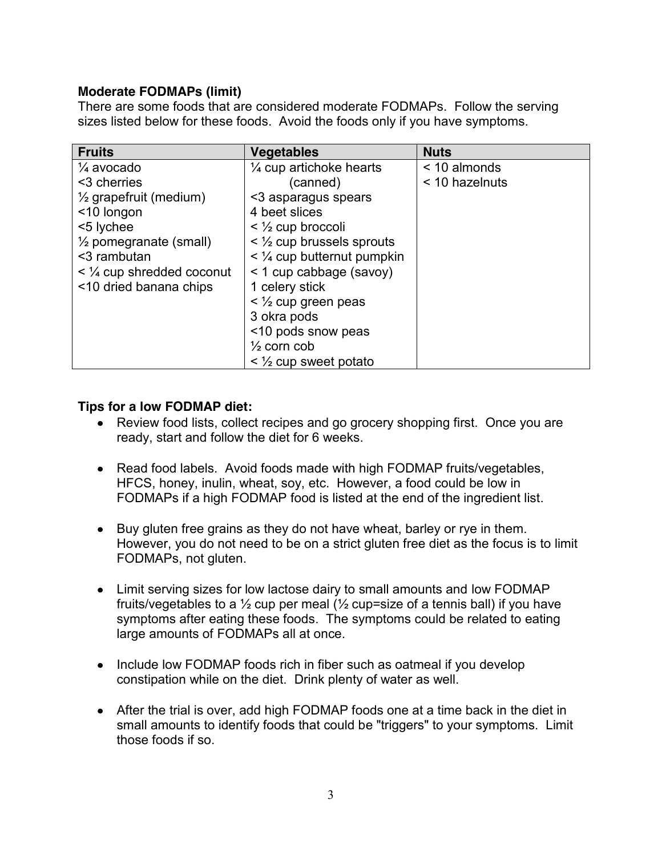# **Moderate FODMAPs (limit)**

There are some foods that are considered moderate FODMAPs. Follow the serving sizes listed below for these foods. Avoid the foods only if you have symptoms.

| <b>Fruits</b>                     | <b>Vegetables</b>                           | <b>Nuts</b>    |
|-----------------------------------|---------------------------------------------|----------------|
| $\frac{1}{4}$ avocado             | $\frac{1}{4}$ cup artichoke hearts          | < 10 almonds   |
| <3 cherries                       | (canned)                                    | < 10 hazelnuts |
| $\frac{1}{2}$ grapefruit (medium) | <3 asparagus spears                         |                |
| <10 longon                        | 4 beet slices                               |                |
| <5 lychee                         | $\leq$ $\frac{1}{2}$ cup broccoli           |                |
| $\frac{1}{2}$ pomegranate (small) | $\leq$ 1/ <sub>2</sub> cup brussels sprouts |                |
| <3 rambutan                       | $\leq$ 1/4 cup butternut pumpkin            |                |
| $\leq$ 1/4 cup shredded coconut   | < 1 cup cabbage (savoy)                     |                |
| <10 dried banana chips            | 1 celery stick                              |                |
|                                   | $\leq$ 1/2 cup green peas                   |                |
|                                   | 3 okra pods                                 |                |
|                                   | <10 pods snow peas                          |                |
|                                   | $\frac{1}{2}$ corn cob                      |                |
|                                   | $\leq$ $\frac{1}{2}$ cup sweet potato       |                |

# **Tips for a low FODMAP diet:**

- Review food lists, collect recipes and go grocery shopping first. Once you are ready, start and follow the diet for 6 weeks.
- Read food labels. Avoid foods made with high FODMAP fruits/vegetables, HFCS, honey, inulin, wheat, soy, etc. However, a food could be low in FODMAPs if a high FODMAP food is listed at the end of the ingredient list.
- Buy gluten free grains as they do not have wheat, barley or rye in them. However, you do not need to be on a strict gluten free diet as the focus is to limit FODMAPs, not gluten.
- Limit serving sizes for low lactose dairy to small amounts and low FODMAP fruits/vegetables to a  $\frac{1}{2}$  cup per meal ( $\frac{1}{2}$  cup=size of a tennis ball) if you have symptoms after eating these foods. The symptoms could be related to eating large amounts of FODMAPs all at once.
- Include low FODMAP foods rich in fiber such as oatmeal if you develop constipation while on the diet. Drink plenty of water as well.
- After the trial is over, add high FODMAP foods one at a time back in the diet in small amounts to identify foods that could be "triggers" to your symptoms. Limit those foods if so.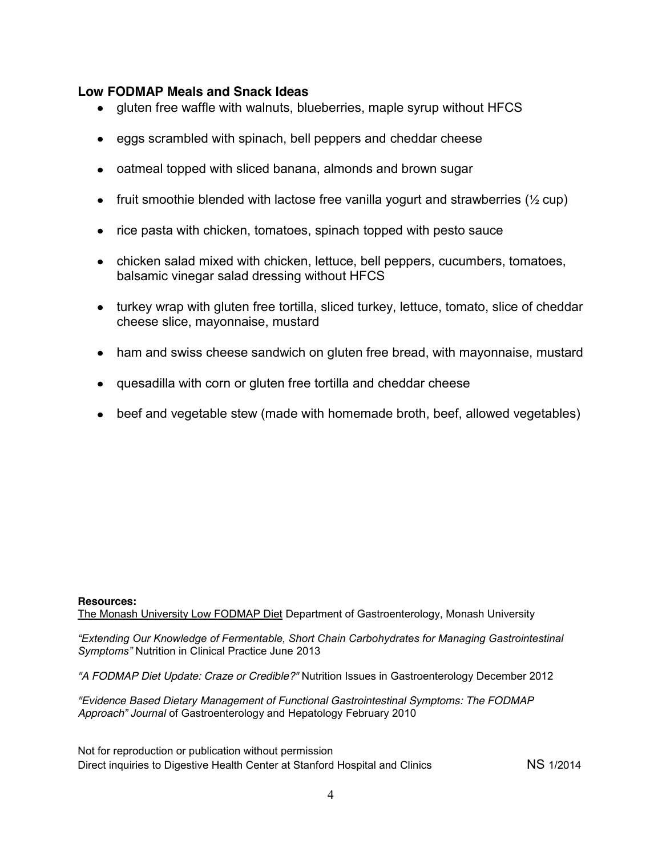# **Low FODMAP Meals and Snack Ideas**

- gluten free waffle with walnuts, blueberries, maple syrup without HFCS
- eggs scrambled with spinach, bell peppers and cheddar cheese
- oatmeal topped with sliced banana, almonds and brown sugar
- fruit smoothie blended with lactose free vanilla yogurt and strawberries ( $\frac{1}{2}$  cup)
- rice pasta with chicken, tomatoes, spinach topped with pesto sauce
- chicken salad mixed with chicken, lettuce, bell peppers, cucumbers, tomatoes, balsamic vinegar salad dressing without HFCS
- turkey wrap with gluten free tortilla, sliced turkey, lettuce, tomato, slice of cheddar cheese slice, mayonnaise, mustard
- ham and swiss cheese sandwich on gluten free bread, with mayonnaise, mustard
- quesadilla with corn or gluten free tortilla and cheddar cheese
- beef and vegetable stew (made with homemade broth, beef, allowed vegetables)

# **Resources:**

The Monash University Low FODMAP Diet Department of Gastroenterology, Monash University

*"Extending Our Knowledge of Fermentable, Short Chain Carbohydrates for Managing Gastrointestinal Symptoms"* Nutrition in Clinical Practice June 2013

*"A FODMAP Diet Update: Craze or Credible?"* Nutrition Issues in Gastroenterology December 2012

*"Evidence Based Dietary Management of Functional Gastrointestinal Symptoms: The FODMAP Approach" Journal* of Gastroenterology and Hepatology February 2010

Not for reproduction or publication without permission Direct inquiries to Digestive Health Center at Stanford Hospital and Clinics NS 1/2014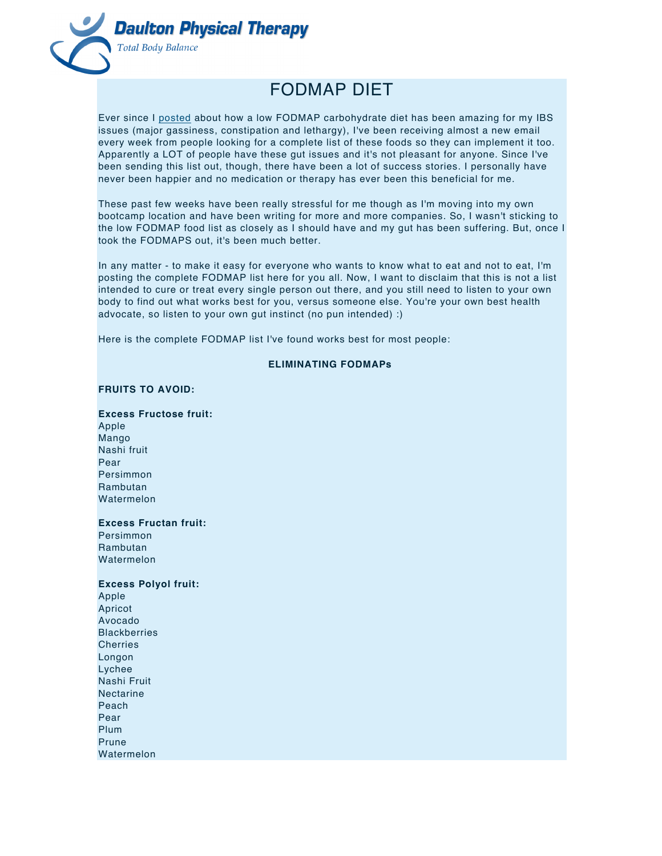

# FODMAP DIET

Ever since I posted about how a low FODMAP carbohydrate diet has been amazing for my IBS issues (major gassiness, constipation and lethargy), I've been receiving almost a new email every week from people looking for a complete list of these foods so they can implement it too. Apparently a LOT of people have these gut issues and it's not pleasant for anyone. Since I've been sending this list out, though, there have been a lot of success stories. I personally have never been happier and no medication or therapy has ever been this beneficial for me.

These past few weeks have been really stressful for me though as I'm moving into my own bootcamp location and have been writing for more and more companies. So, I wasn't sticking to the low FODMAP food list as closely as I should have and my gut has been suffering. But, once I took the FODMAPS out, it's been much better.

In any matter - to make it easy for everyone who wants to know what to eat and not to eat, I'm posting the complete FODMAP list here for you all. Now, I want to disclaim that this is not a list intended to cure or treat every single person out there, and you still need to listen to your own body to find out what works best for you, versus someone else. You're your own best health advocate, so listen to your own gut instinct (no pun intended) :)

Here is the complete FODMAP list I've found works best for most people:

# **ELIMINATING FODMAPs**

## **FRUITS TO AVOID:**

**Excess Fructose fruit:** Apple Mango Nashi fruit Pear Persimmon Rambutan

Watermelon

**Excess Fructan fruit:**

Persimmon Rambutan Watermelon

#### **Excess Polyol fruit:**

Apple Apricot Avocado **Blackberries** Cherries Longon Lychee Nashi Fruit Nectarine Peach Pear Plum Prune Watermelon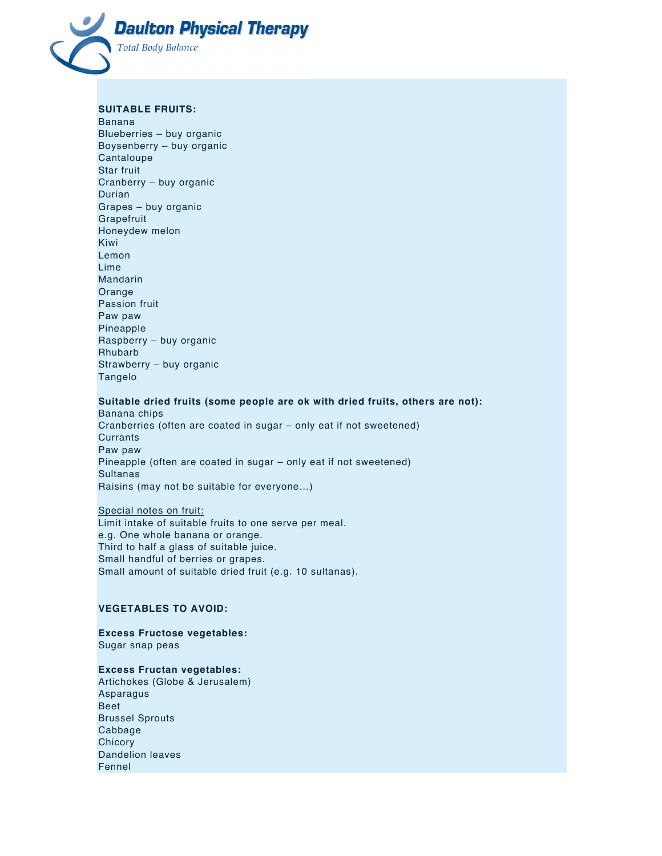

#### **SUITABLE FRUITS:**

Banana Blueberries – buy organic Boysenberry – buy organic Cantaloupe Star fruit Cranberry – buy organic Durian Grapes – buy organic Grapefruit Honeydew melon Kiwi Lemon Lime Mandarin Orange Passion fruit Paw paw Pineapple Raspberry – buy organic Rhubarb Strawberry – buy organic Tangelo

## **Suitable dried fruits (some people are ok with dried fruits, others are not):**

Banana chips Cranberries (often are coated in sugar – only eat if not sweetened) **Currants** Paw paw Pineapple (often are coated in sugar – only eat if not sweetened) Sultanas Raisins (may not be suitable for everyone…)

# Special notes on fruit: Limit intake of suitable fruits to one serve per meal. e.g. One whole banana or orange. Third to half a glass of suitable juice. Small handful of berries or grapes. Small amount of suitable dried fruit (e.g. 10 sultanas).

# **VEGETABLES TO AVOID:**

**Excess Fructose vegetables:** Sugar snap peas

#### **Excess Fructan vegetables:**

Artichokes (Globe & Jerusalem) Asparagus Beet Brussel Sprouts Cabbage **Chicory** Dandelion leaves Fennel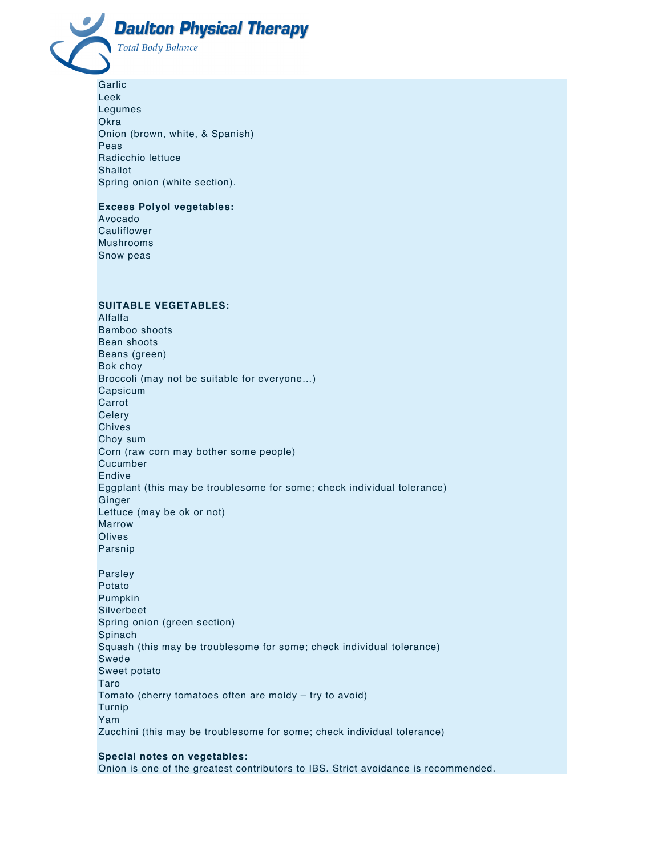

Garlic Leek Legumes Okra Onion (brown, white, & Spanish) Peas Radicchio lettuce **Shallot** Spring onion (white section).

# **Excess Polyol vegetables:**

Avocado Cauliflower Mushrooms Snow peas

# **SUITABLE VEGETABLES:**

Alfalfa Bamboo shoots Bean shoots Beans (green) Bok choy Broccoli (may not be suitable for everyone…) Capsicum Carrot **Celery** Chives Choy sum Corn (raw corn may bother some people) Cucumber Endive Eggplant (this may be troublesome for some; check individual tolerance) Ginger Lettuce (may be ok or not) Marrow **Olives** Parsnip

Parsley Potato Pumpkin Silverbeet Spring onion (green section) Spinach Squash (this may be troublesome for some; check individual tolerance) Swede Sweet potato Taro Tomato (cherry tomatoes often are moldy – try to avoid) Turnip Yam Zucchini (this may be troublesome for some; check individual tolerance)

# **Special notes on vegetables:**

Onion is one of the greatest contributors to IBS. Strict avoidance is recommended.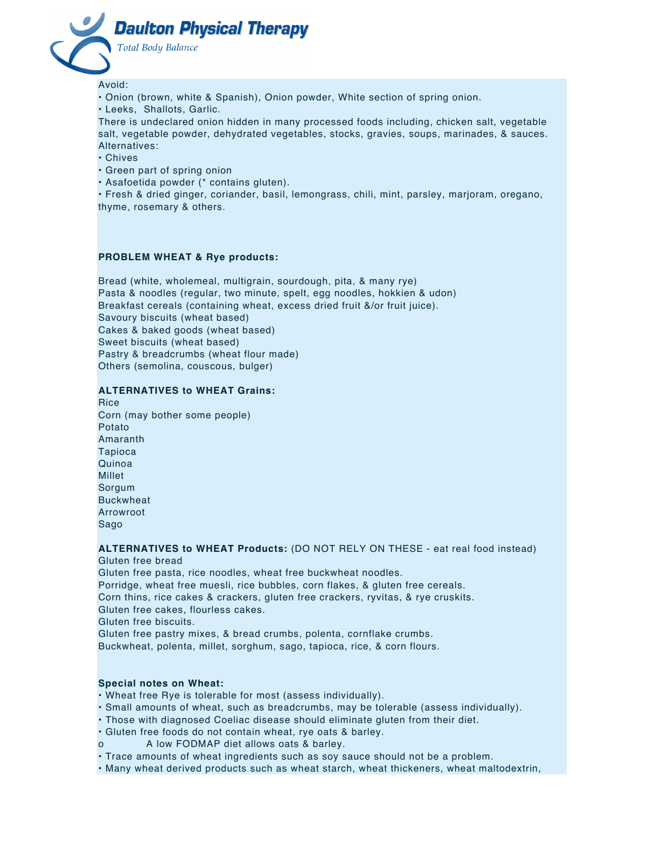

Avoid:

- Onion (brown, white & Spanish), Onion powder, White section of spring onion.
- Leeks, Shallots, Garlic.

There is undeclared onion hidden in many processed foods including, chicken salt, vegetable salt, vegetable powder, dehydrated vegetables, stocks, gravies, soups, marinades, & sauces. Alternatives:

- Chives
- Green part of spring onion
- Asafoetida powder (\* contains gluten).

• Fresh & dried ginger, coriander, basil, lemongrass, chili, mint, parsley, marjoram, oregano, thyme, rosemary & others.

# **PROBLEM WHEAT & Rye products:**

Bread (white, wholemeal, multigrain, sourdough, pita, & many rye) Pasta & noodles (regular, two minute, spelt, egg noodles, hokkien & udon) Breakfast cereals (containing wheat, excess dried fruit &/or fruit juice). Savoury biscuits (wheat based) Cakes & baked goods (wheat based) Sweet biscuits (wheat based) Pastry & breadcrumbs (wheat flour made) Others (semolina, couscous, bulger)

### **ALTERNATIVES to WHEAT Grains:**

**Rice** Corn (may bother some people) Potato Amaranth Tapioca Quinoa Millet Sorgum Buckwheat Arrowroot Sago

**ALTERNATIVES to WHEAT Products:** (DO NOT RELY ON THESE - eat real food instead)

Gluten free bread Gluten free pasta, rice noodles, wheat free buckwheat noodles. Porridge, wheat free muesli, rice bubbles, corn flakes, & gluten free cereals. Corn thins, rice cakes & crackers, gluten free crackers, ryvitas, & rye cruskits. Gluten free cakes, flourless cakes. Gluten free biscuits. Gluten free pastry mixes, & bread crumbs, polenta, cornflake crumbs. Buckwheat, polenta, millet, sorghum, sago, tapioca, rice, & corn flours.

#### **Special notes on Wheat:**

- Wheat free Rye is tolerable for most (assess individually).
- Small amounts of wheat, such as breadcrumbs, may be tolerable (assess individually).
- Those with diagnosed Coeliac disease should eliminate gluten from their diet.
- Gluten free foods do not contain wheat, rye oats & barley.
- A low FODMAP diet allows oats & barley.
- Trace amounts of wheat ingredients such as soy sauce should not be a problem.

• Many wheat derived products such as wheat starch, wheat thickeners, wheat maltodextrin,